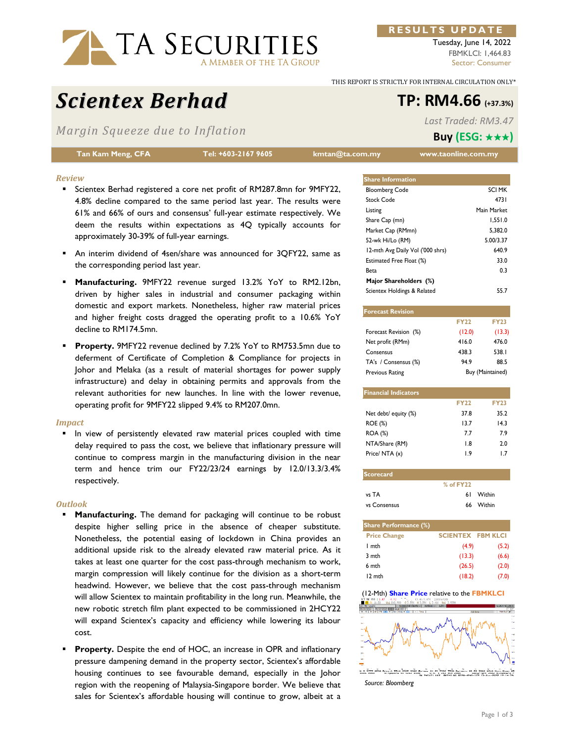

#### **RESULTS UPDATE**

Tuesday, June 14, 2022 FBMKLCI: 1,464.83 Sector: Consumer

THIS REPORT IS STRICTLY FOR INTERNAL CIRCULATION ONLY\*

# *Scientex Berhad* **TP: RM4.66 (+37.3%)**

*Margin Squeeze due to Inflation* 

**Tan Kam Meng, CFA Tel: +603-2167 9605 kmtan@ta.com.my www.taonline.com.my** 

*Last Traded: RM3.47* **Buy (ESG:** ★★★**)**

#### *Review*

- **Scientex Berhad registered a core net profit of RM287.8mn for 9MFY22,** 4.8% decline compared to the same period last year. The results were 61% and 66% of ours and consensus' full-year estimate respectively. We deem the results within expectations as 4Q typically accounts for approximately 30-39% of full-year earnings.
- An interim dividend of 4sen/share was announced for 3QFY22, same as the corresponding period last year.
- **Manufacturing.** 9MFY22 revenue surged 13.2% YoY to RM2.12bn, driven by higher sales in industrial and consumer packaging within domestic and export markets. Nonetheless, higher raw material prices and higher freight costs dragged the operating profit to a 10.6% YoY decline to RM174.5mn.
- **Property.** 9MFY22 revenue declined by 7.2% YoY to RM753.5mn due to deferment of Certificate of Completion & Compliance for projects in Johor and Melaka (as a result of material shortages for power supply infrastructure) and delay in obtaining permits and approvals from the relevant authorities for new launches. In line with the lower revenue, operating profit for 9MFY22 slipped 9.4% to RM207.0mn.

#### *Impact*

 In view of persistently elevated raw material prices coupled with time delay required to pass the cost, we believe that inflationary pressure will continue to compress margin in the manufacturing division in the near term and hence trim our FY22/23/24 earnings by 12.0/13.3/3.4% respectively.

#### *Outlook*

- **Manufacturing.** The demand for packaging will continue to be robust despite higher selling price in the absence of cheaper substitute. Nonetheless, the potential easing of lockdown in China provides an additional upside risk to the already elevated raw material price. As it takes at least one quarter for the cost pass-through mechanism to work, margin compression will likely continue for the division as a short-term headwind. However, we believe that the cost pass-through mechanism will allow Scientex to maintain profitability in the long run. Meanwhile, the new robotic stretch film plant expected to be commissioned in 2HCY22 will expand Scientex's capacity and efficiency while lowering its labour cost.
- **Property.** Despite the end of HOC, an increase in OPR and inflationary pressure dampening demand in the property sector, Scientex's affordable housing continues to see favourable demand, especially in the Johor region with the reopening of Malaysia-Singapore border. We believe that sales for Scientex's affordable housing will continue to grow, albeit at a

| <b>Share Information</b>         |               |
|----------------------------------|---------------|
| <b>Bloomberg Code</b>            | <b>SCI MK</b> |
| Stock Code                       | 4731          |
| Listing                          | Main Market   |
| Share Cap (mn)                   | 1,551.0       |
| Market Cap (RMmn)                | 5.382.0       |
| 52-wk Hi/Lo (RM)                 | 5.00/3.37     |
| 12-mth Avg Daily Vol ('000 shrs) | 640.9         |
| Estimated Free Float (%)         | 33.0          |
| Beta                             | 0.3           |
| Major Shareholders (%)           |               |
| Scientex Holdings & Related      | 55.7          |

| <b>Forecast Revision</b>    |             |                  |  |  |
|-----------------------------|-------------|------------------|--|--|
|                             | <b>FY22</b> | <b>FY23</b>      |  |  |
| Forecast Revision (%)       | (12.0)      | (13.3)           |  |  |
| Net profit (RMm)            | 416.0       | 476.0            |  |  |
| Consensus                   | 438.3       | 538.1            |  |  |
| TA's / Consensus (%)        | 94.9        | 88.5             |  |  |
| Previous Rating             |             | Buy (Maintained) |  |  |
|                             |             |                  |  |  |
| <b>Financial Indicators</b> |             |                  |  |  |
|                             | <b>FY22</b> | <b>FY23</b>      |  |  |
| Net debt/ equity (%)        | 37.8        | 35.2             |  |  |
| ROE (%)                     | 13.7        | 14.3             |  |  |
| <b>ROA</b> (%)              | 7.7         | 7.9              |  |  |
| NTA/Share (RM)              | 1.8         | 2.0              |  |  |
| Price/ NTA (x)              | 1.9         | 1.7              |  |  |
|                             |             |                  |  |  |
| Convention                  |             |                  |  |  |

| <u>Scorecard</u> |               |           |
|------------------|---------------|-----------|
|                  | $%$ of $FY22$ |           |
| vs TA            |               | 61 Within |
| vs Consensus     |               | 66 Within |

| <b>Share Performance (%)</b> |                          |       |
|------------------------------|--------------------------|-------|
| <b>Price Change</b>          | <b>SCIENTEX FBM KLCI</b> |       |
| l mth                        | (4.9)                    | (5.2) |
| 3 mth                        | (13.3)                   | (6.6) |
| 6 mth                        | (26.5)                   | (2.0) |
| 12 mth                       | (18.2)                   | (7.0) |

# (12-Mth) **Share Price** relative to the **FBMKLCI**

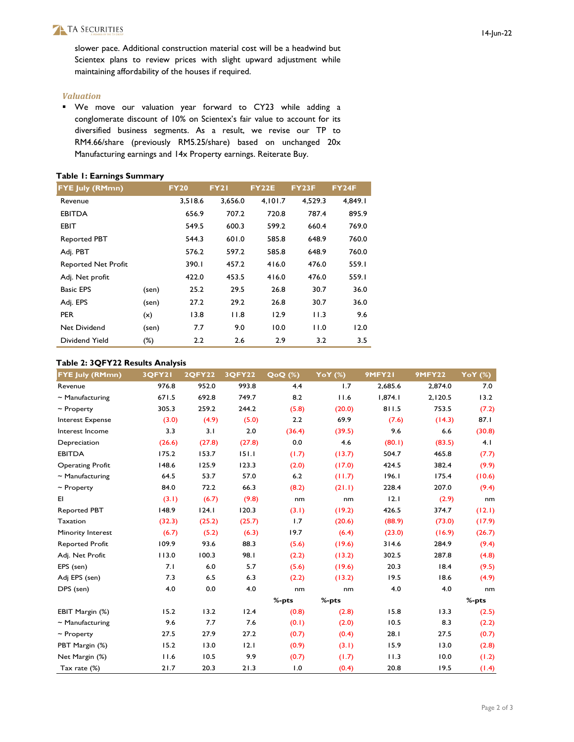## TA SECURITIES

slower pace. Additional construction material cost will be a headwind but Scientex plans to review prices with slight upward adjustment while maintaining affordability of the houses if required.

#### *Valuation*

 We move our valuation year forward to CY23 while adding a conglomerate discount of 10% on Scientex's fair value to account for its diversified business segments. As a result, we revise our TP to RM4.66/share (previously RM5.25/share) based on unchanged 20x Manufacturing earnings and 14x Property earnings. Reiterate Buy.

#### **Table 1: Earnings Summary**

| <b>FYE July (RMmn)</b>     |        | <b>FY20</b> | <b>FY21</b> | <b>FY22E</b> | <b>FY23F</b> | <b>FY24F</b> |
|----------------------------|--------|-------------|-------------|--------------|--------------|--------------|
| Revenue                    |        | 3,518.6     | 3.656.0     | 4,101.7      | 4.529.3      | 4.849.1      |
| <b>EBITDA</b>              |        | 656.9       | 707.2       | 720.8        | 787.4        | 895.9        |
| <b>EBIT</b>                |        | 549.5       | 600.3       | 599.2        | 660.4        | 769.0        |
| <b>Reported PBT</b>        |        | 544.3       | 601.0       | 585.8        | 648.9        | 760.0        |
| Adj. PBT                   |        | 576.2       | 597.2       | 585.8        | 648.9        | 760.0        |
| <b>Reported Net Profit</b> |        | 390.1       | 457.2       | 416.0        | 476.0        | 559.1        |
| Adj. Net profit            |        | 422.0       | 453.5       | 416.0        | 476.0        | 559.1        |
| <b>Basic EPS</b>           | (sen)  | 25.2        | 29.5        | 26.8         | 30.7         | 36.0         |
| Adj. EPS                   | (sen)  | 27.2        | 29.2        | 26.8         | 30.7         | 36.0         |
| <b>PER</b>                 | (x)    | 13.8        | 11.8        | 12.9         | 11.3         | 9.6          |
| Net Dividend               | (sen)  | 7.7         | 9.0         | 10.0         | 0.11         | 12.0         |
| Dividend Yield             | $(\%)$ | 2.2         | 2.6         | 2.9          | 3.2          | 3.5          |

#### **Table 2: 3QFY22 Results Analysis**

| <b>FYE July (RMmn)</b>  | <b>3QFY21</b> | <b>2QFY22</b> | <b>3QFY22</b> | QoQ (%) | YoY (%) | 9MFY21  | <b>9MFY22</b> | YoY $(\%)$ |
|-------------------------|---------------|---------------|---------------|---------|---------|---------|---------------|------------|
| Revenue                 | 976.8         | 952.0         | 993.8         | 4.4     | 1.7     | 2,685.6 | 2,874.0       | 7.0        |
| $\sim$ Manufacturing    | 671.5         | 692.8         | 749.7         | 8.2     | 11.6    | 1,874.1 | 2,120.5       | 13.2       |
| $\sim$ Property         | 305.3         | 259.2         | 244.2         | (5.8)   | (20.0)  | 811.5   | 753.5         | (7.2)      |
| <b>Interest Expense</b> | (3.0)         | (4.9)         | (5.0)         | 2.2     | 69.9    | (7.6)   | (14.3)        | 87.I       |
| Interest Income         | 3.3           | 3.1           | 2.0           | (36.4)  | (39.5)  | 9.6     | 6.6           | (30.8)     |
| Depreciation            | (26.6)        | (27.8)        | (27.8)        | 0.0     | 4.6     | (80.1)  | (83.5)        | 4.1        |
| <b>EBITDA</b>           | 175.2         | 153.7         | 151.1         | (1.7)   | (13.7)  | 504.7   | 465.8         | (7.7)      |
| <b>Operating Profit</b> | 148.6         | 125.9         | 123.3         | (2.0)   | (17.0)  | 424.5   | 382.4         | (9.9)      |
| $\sim$ Manufacturing    | 64.5          | 53.7          | 57.0          | 6.2     | (11.7)  | 196.1   | 175.4         | (10.6)     |
| $\sim$ Property         | 84.0          | 72.2          | 66.3          | (8.2)   | (21.1)  | 228.4   | 207.0         | (9.4)      |
| EI                      | (3.1)         | (6.7)         | (9.8)         | nm      | nm      | 12.1    | (2.9)         | nm         |
| <b>Reported PBT</b>     | 148.9         | 124.1         | 120.3         | (3.1)   | (19.2)  | 426.5   | 374.7         | (12.1)     |
| Taxation                | (32.3)        | (25.2)        | (25.7)        | 1.7     | (20.6)  | (88.9)  | (73.0)        | (17.9)     |
| Minority Interest       | (6.7)         | (5.2)         | (6.3)         | 19.7    | (6.4)   | (23.0)  | (16.9)        | (26.7)     |
| <b>Reported Profit</b>  | 109.9         | 93.6          | 88.3          | (5.6)   | (19.6)  | 314.6   | 284.9         | (9.4)      |
| Adj. Net Profit         | 113.0         | 100.3         | 98.I          | (2.2)   | (13.2)  | 302.5   | 287.8         | (4.8)      |
| EPS (sen)               | 7.1           | 6.0           | 5.7           | (5.6)   | (19.6)  | 20.3    | 18.4          | (9.5)      |
| Adj EPS (sen)           | 7.3           | 6.5           | 6.3           | (2.2)   | (13.2)  | 19.5    | 18.6          | (4.9)      |
| DPS (sen)               | 4.0           | 0.0           | 4.0           | nm      | nm      | 4.0     | 4.0           | nm         |
|                         |               |               |               | %-pts   | %-pts   |         |               | %-pts      |
| EBIT Margin (%)         | 15.2          | 13.2          | 12.4          | (0.8)   | (2.8)   | 15.8    | 13.3          | (2.5)      |
| $\sim$ Manufacturing    | 9.6           | 7.7           | 7.6           | (0.1)   | (2.0)   | 10.5    | 8.3           | (2.2)      |
| $\sim$ Property         | 27.5          | 27.9          | 27.2          | (0.7)   | (0.4)   | 28.1    | 27.5          | (0.7)      |
| PBT Margin (%)          | 15.2          | 13.0          | 12.1          | (0.9)   | (3.1)   | 15.9    | 13.0          | (2.8)      |
| Net Margin (%)          | 11.6          | 10.5          | 9.9           | (0.7)   | (1.7)   | 11.3    | 10.0          | (1.2)      |
| Tax rate (%)            | 21.7          | 20.3          | 21.3          | 1.0     | (0.4)   | 20.8    | 19.5          | (1.4)      |